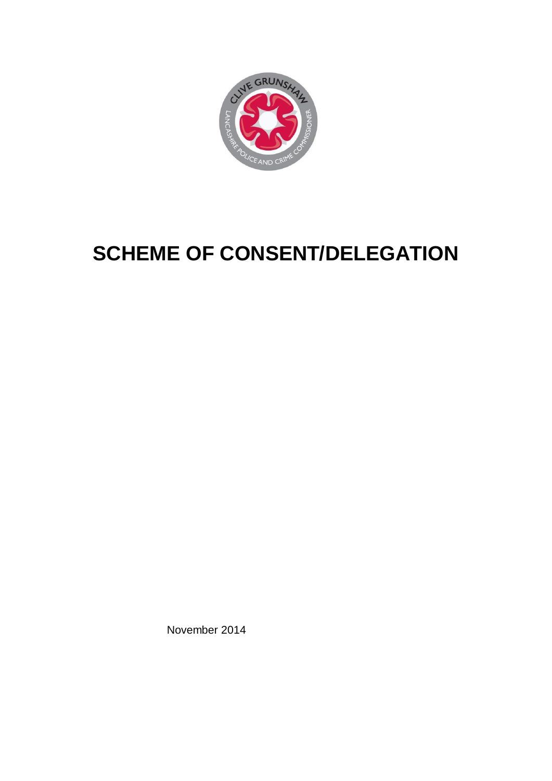

# **SCHEME OF CONSENT/DELEGATION**

November 2014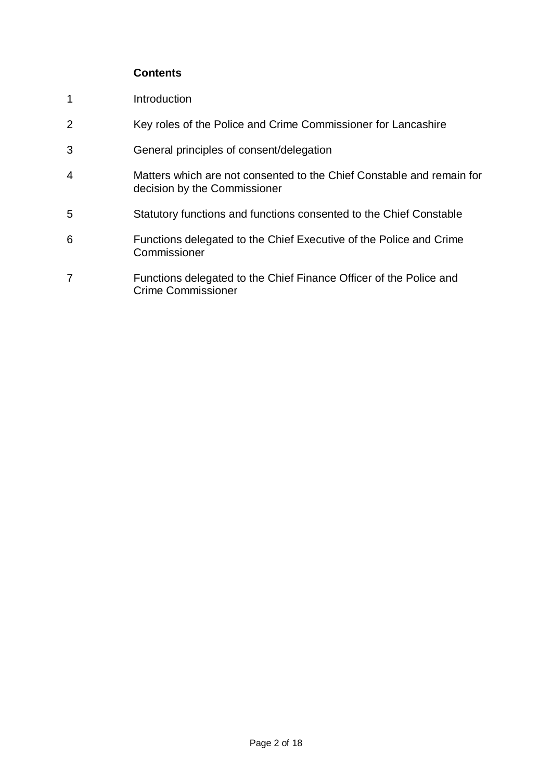# **Contents**

- 1 Introduction
- 2 Key roles of the Police and Crime Commissioner for Lancashire
- 3 General principles of consent/delegation
- 4 Matters which are not consented to the Chief Constable and remain for decision by the Commissioner
- 5 Statutory functions and functions consented to the Chief Constable
- 6 Functions delegated to the Chief Executive of the Police and Crime Commissioner
- 7 Functions delegated to the Chief Finance Officer of the Police and Crime Commissioner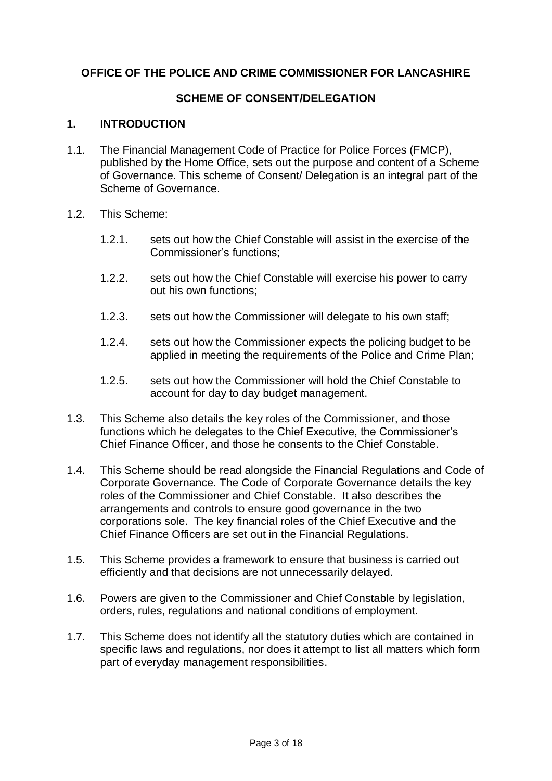## **OFFICE OF THE POLICE AND CRIME COMMISSIONER FOR LANCASHIRE**

## **SCHEME OF CONSENT/DELEGATION**

#### **1. INTRODUCTION**

- 1.1. The Financial Management Code of Practice for Police Forces (FMCP), published by the Home Office, sets out the purpose and content of a Scheme of Governance. This scheme of Consent/ Delegation is an integral part of the Scheme of Governance.
- 1.2. This Scheme:
	- 1.2.1. sets out how the Chief Constable will assist in the exercise of the Commissioner's functions;
	- 1.2.2. sets out how the Chief Constable will exercise his power to carry out his own functions;
	- 1.2.3. sets out how the Commissioner will delegate to his own staff;
	- 1.2.4. sets out how the Commissioner expects the policing budget to be applied in meeting the requirements of the Police and Crime Plan;
	- 1.2.5. sets out how the Commissioner will hold the Chief Constable to account for day to day budget management.
- 1.3. This Scheme also details the key roles of the Commissioner, and those functions which he delegates to the Chief Executive, the Commissioner's Chief Finance Officer, and those he consents to the Chief Constable.
- 1.4. This Scheme should be read alongside the Financial Regulations and Code of Corporate Governance. The Code of Corporate Governance details the key roles of the Commissioner and Chief Constable. It also describes the arrangements and controls to ensure good governance in the two corporations sole. The key financial roles of the Chief Executive and the Chief Finance Officers are set out in the Financial Regulations.
- 1.5. This Scheme provides a framework to ensure that business is carried out efficiently and that decisions are not unnecessarily delayed.
- 1.6. Powers are given to the Commissioner and Chief Constable by legislation, orders, rules, regulations and national conditions of employment.
- 1.7. This Scheme does not identify all the statutory duties which are contained in specific laws and regulations, nor does it attempt to list all matters which form part of everyday management responsibilities.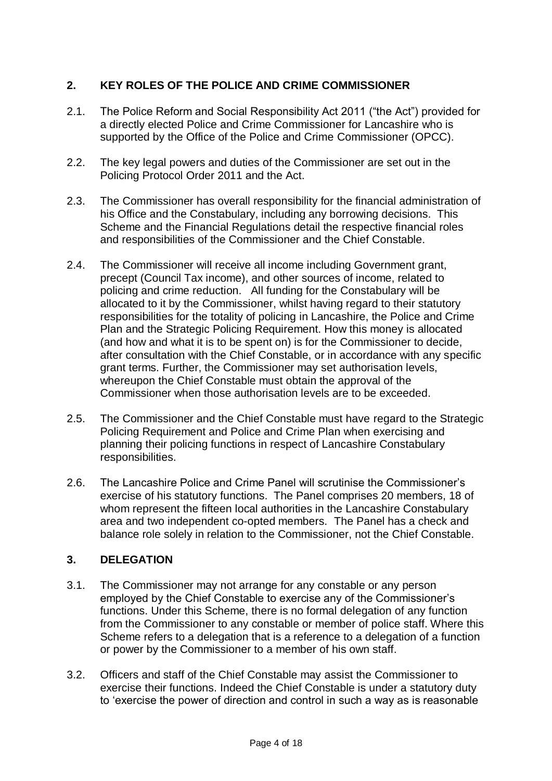# **2. KEY ROLES OF THE POLICE AND CRIME COMMISSIONER**

- 2.1. The Police Reform and Social Responsibility Act 2011 ("the Act") provided for a directly elected Police and Crime Commissioner for Lancashire who is supported by the Office of the Police and Crime Commissioner (OPCC).
- 2.2. The key legal powers and duties of the Commissioner are set out in the Policing Protocol Order 2011 and the Act.
- 2.3. The Commissioner has overall responsibility for the financial administration of his Office and the Constabulary, including any borrowing decisions. This Scheme and the Financial Regulations detail the respective financial roles and responsibilities of the Commissioner and the Chief Constable.
- 2.4. The Commissioner will receive all income including Government grant, precept (Council Tax income), and other sources of income, related to policing and crime reduction. All funding for the Constabulary will be allocated to it by the Commissioner, whilst having regard to their statutory responsibilities for the totality of policing in Lancashire, the Police and Crime Plan and the Strategic Policing Requirement. How this money is allocated (and how and what it is to be spent on) is for the Commissioner to decide, after consultation with the Chief Constable, or in accordance with any specific grant terms. Further, the Commissioner may set authorisation levels, whereupon the Chief Constable must obtain the approval of the Commissioner when those authorisation levels are to be exceeded.
- 2.5. The Commissioner and the Chief Constable must have regard to the Strategic Policing Requirement and Police and Crime Plan when exercising and planning their policing functions in respect of Lancashire Constabulary responsibilities.
- 2.6. The Lancashire Police and Crime Panel will scrutinise the Commissioner's exercise of his statutory functions. The Panel comprises 20 members, 18 of whom represent the fifteen local authorities in the Lancashire Constabulary area and two independent co-opted members. The Panel has a check and balance role solely in relation to the Commissioner, not the Chief Constable.

# **3. DELEGATION**

- 3.1. The Commissioner may not arrange for any constable or any person employed by the Chief Constable to exercise any of the Commissioner's functions. Under this Scheme, there is no formal delegation of any function from the Commissioner to any constable or member of police staff. Where this Scheme refers to a delegation that is a reference to a delegation of a function or power by the Commissioner to a member of his own staff.
- 3.2. Officers and staff of the Chief Constable may assist the Commissioner to exercise their functions. Indeed the Chief Constable is under a statutory duty to 'exercise the power of direction and control in such a way as is reasonable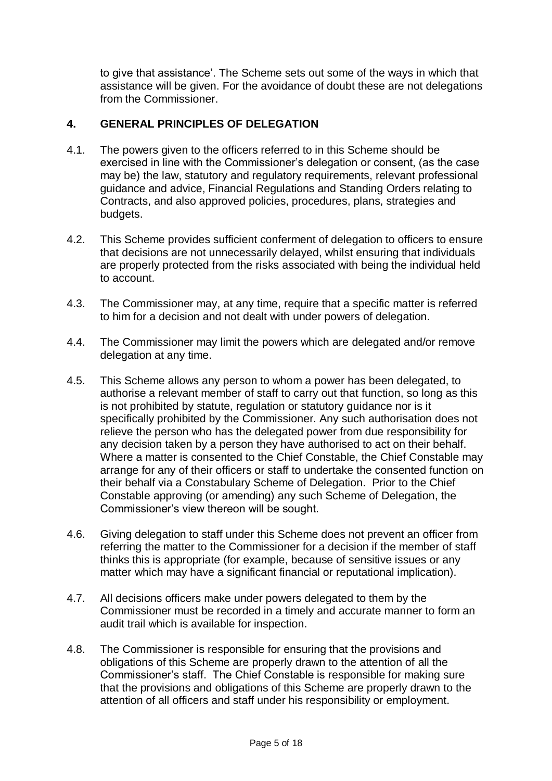to give that assistance'. The Scheme sets out some of the ways in which that assistance will be given. For the avoidance of doubt these are not delegations from the Commissioner.

## **4. GENERAL PRINCIPLES OF DELEGATION**

- 4.1. The powers given to the officers referred to in this Scheme should be exercised in line with the Commissioner's delegation or consent, (as the case may be) the law, statutory and regulatory requirements, relevant professional guidance and advice, Financial Regulations and Standing Orders relating to Contracts, and also approved policies, procedures, plans, strategies and budgets.
- 4.2. This Scheme provides sufficient conferment of delegation to officers to ensure that decisions are not unnecessarily delayed, whilst ensuring that individuals are properly protected from the risks associated with being the individual held to account.
- 4.3. The Commissioner may, at any time, require that a specific matter is referred to him for a decision and not dealt with under powers of delegation.
- 4.4. The Commissioner may limit the powers which are delegated and/or remove delegation at any time.
- 4.5. This Scheme allows any person to whom a power has been delegated, to authorise a relevant member of staff to carry out that function, so long as this is not prohibited by statute, regulation or statutory guidance nor is it specifically prohibited by the Commissioner. Any such authorisation does not relieve the person who has the delegated power from due responsibility for any decision taken by a person they have authorised to act on their behalf. Where a matter is consented to the Chief Constable, the Chief Constable may arrange for any of their officers or staff to undertake the consented function on their behalf via a Constabulary Scheme of Delegation. Prior to the Chief Constable approving (or amending) any such Scheme of Delegation, the Commissioner's view thereon will be sought.
- 4.6. Giving delegation to staff under this Scheme does not prevent an officer from referring the matter to the Commissioner for a decision if the member of staff thinks this is appropriate (for example, because of sensitive issues or any matter which may have a significant financial or reputational implication).
- 4.7. All decisions officers make under powers delegated to them by the Commissioner must be recorded in a timely and accurate manner to form an audit trail which is available for inspection.
- 4.8. The Commissioner is responsible for ensuring that the provisions and obligations of this Scheme are properly drawn to the attention of all the Commissioner's staff. The Chief Constable is responsible for making sure that the provisions and obligations of this Scheme are properly drawn to the attention of all officers and staff under his responsibility or employment.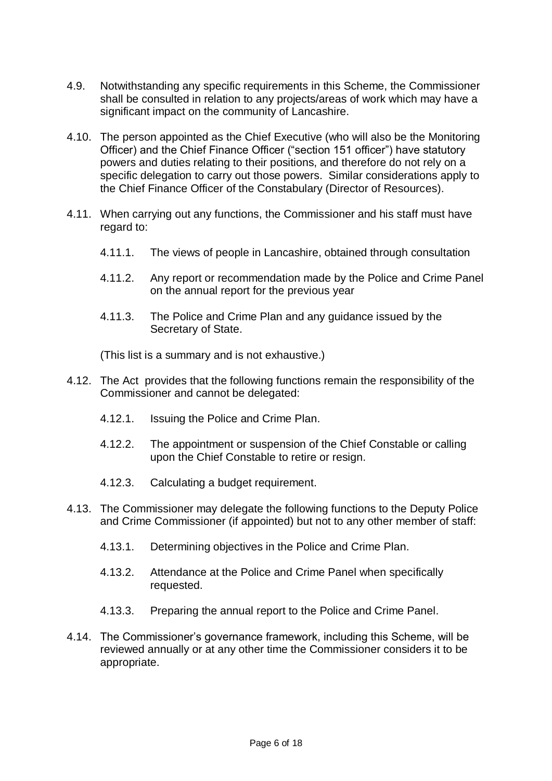- 4.9. Notwithstanding any specific requirements in this Scheme, the Commissioner shall be consulted in relation to any projects/areas of work which may have a significant impact on the community of Lancashire.
- 4.10. The person appointed as the Chief Executive (who will also be the Monitoring Officer) and the Chief Finance Officer ("section 151 officer") have statutory powers and duties relating to their positions, and therefore do not rely on a specific delegation to carry out those powers. Similar considerations apply to the Chief Finance Officer of the Constabulary (Director of Resources).
- 4.11. When carrying out any functions, the Commissioner and his staff must have regard to:
	- 4.11.1. The views of people in Lancashire, obtained through consultation
	- 4.11.2. Any report or recommendation made by the Police and Crime Panel on the annual report for the previous year
	- 4.11.3. The Police and Crime Plan and any guidance issued by the Secretary of State.

(This list is a summary and is not exhaustive.)

- 4.12. The Act provides that the following functions remain the responsibility of the Commissioner and cannot be delegated:
	- 4.12.1. Issuing the Police and Crime Plan.
	- 4.12.2. The appointment or suspension of the Chief Constable or calling upon the Chief Constable to retire or resign.
	- 4.12.3. Calculating a budget requirement.
- 4.13. The Commissioner may delegate the following functions to the Deputy Police and Crime Commissioner (if appointed) but not to any other member of staff:
	- 4.13.1. Determining objectives in the Police and Crime Plan.
	- 4.13.2. Attendance at the Police and Crime Panel when specifically requested.
	- 4.13.3. Preparing the annual report to the Police and Crime Panel.
- 4.14. The Commissioner's governance framework, including this Scheme, will be reviewed annually or at any other time the Commissioner considers it to be appropriate.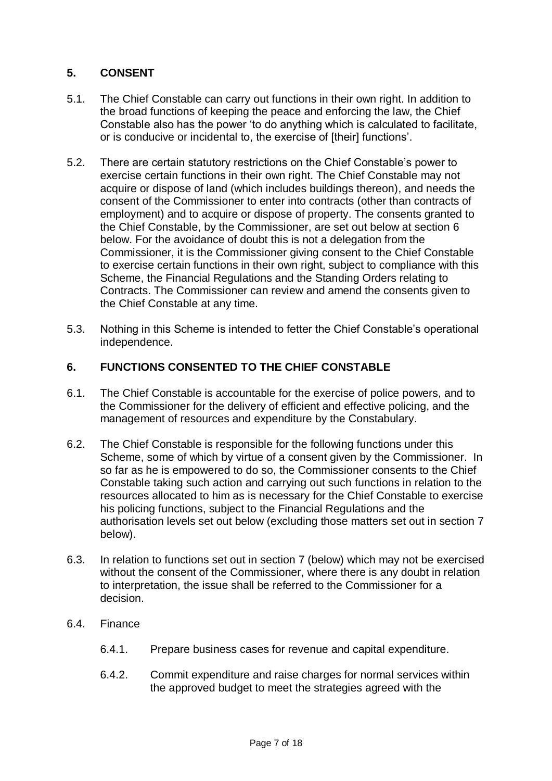# **5. CONSENT**

- 5.1. The Chief Constable can carry out functions in their own right. In addition to the broad functions of keeping the peace and enforcing the law, the Chief Constable also has the power 'to do anything which is calculated to facilitate, or is conducive or incidental to, the exercise of [their] functions'.
- 5.2. There are certain statutory restrictions on the Chief Constable's power to exercise certain functions in their own right. The Chief Constable may not acquire or dispose of land (which includes buildings thereon), and needs the consent of the Commissioner to enter into contracts (other than contracts of employment) and to acquire or dispose of property. The consents granted to the Chief Constable, by the Commissioner, are set out below at section 6 below. For the avoidance of doubt this is not a delegation from the Commissioner, it is the Commissioner giving consent to the Chief Constable to exercise certain functions in their own right, subject to compliance with this Scheme, the Financial Regulations and the Standing Orders relating to Contracts. The Commissioner can review and amend the consents given to the Chief Constable at any time.
- 5.3. Nothing in this Scheme is intended to fetter the Chief Constable's operational independence.

#### **6. FUNCTIONS CONSENTED TO THE CHIEF CONSTABLE**

- 6.1. The Chief Constable is accountable for the exercise of police powers, and to the Commissioner for the delivery of efficient and effective policing, and the management of resources and expenditure by the Constabulary.
- 6.2. The Chief Constable is responsible for the following functions under this Scheme, some of which by virtue of a consent given by the Commissioner. In so far as he is empowered to do so, the Commissioner consents to the Chief Constable taking such action and carrying out such functions in relation to the resources allocated to him as is necessary for the Chief Constable to exercise his policing functions, subject to the Financial Regulations and the authorisation levels set out below (excluding those matters set out in section 7 below).
- 6.3. In relation to functions set out in section 7 (below) which may not be exercised without the consent of the Commissioner, where there is any doubt in relation to interpretation, the issue shall be referred to the Commissioner for a decision.
- 6.4. Finance
	- 6.4.1. Prepare business cases for revenue and capital expenditure.
	- 6.4.2. Commit expenditure and raise charges for normal services within the approved budget to meet the strategies agreed with the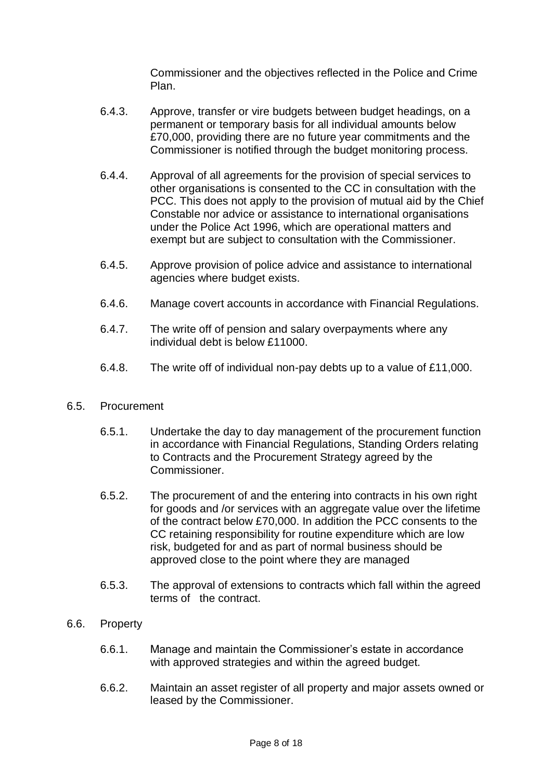Commissioner and the objectives reflected in the Police and Crime Plan.

- 6.4.3. Approve, transfer or vire budgets between budget headings, on a permanent or temporary basis for all individual amounts below £70,000, providing there are no future year commitments and the Commissioner is notified through the budget monitoring process.
- 6.4.4. Approval of all agreements for the provision of special services to other organisations is consented to the CC in consultation with the PCC. This does not apply to the provision of mutual aid by the Chief Constable nor advice or assistance to international organisations under the Police Act 1996, which are operational matters and exempt but are subject to consultation with the Commissioner.
- 6.4.5. Approve provision of police advice and assistance to international agencies where budget exists.
- 6.4.6. Manage covert accounts in accordance with Financial Regulations.
- 6.4.7. The write off of pension and salary overpayments where any individual debt is below £11000.
- 6.4.8. The write off of individual non-pay debts up to a value of £11,000.

#### 6.5. Procurement

- 6.5.1. Undertake the day to day management of the procurement function in accordance with Financial Regulations, Standing Orders relating to Contracts and the Procurement Strategy agreed by the Commissioner.
- 6.5.2. The procurement of and the entering into contracts in his own right for goods and /or services with an aggregate value over the lifetime of the contract below £70,000. In addition the PCC consents to the CC retaining responsibility for routine expenditure which are low risk, budgeted for and as part of normal business should be approved close to the point where they are managed
- 6.5.3. The approval of extensions to contracts which fall within the agreed terms of the contract.
- 6.6. Property
	- 6.6.1. Manage and maintain the Commissioner's estate in accordance with approved strategies and within the agreed budget.
	- 6.6.2. Maintain an asset register of all property and major assets owned or leased by the Commissioner.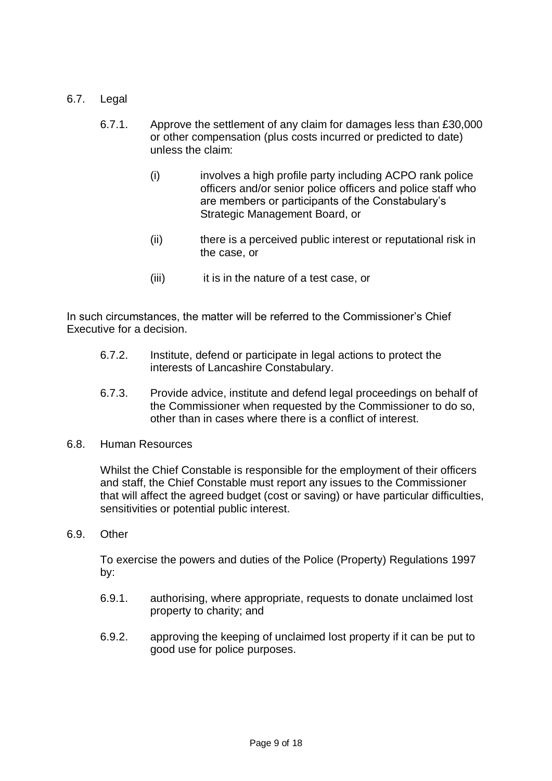- 6.7. Legal
	- 6.7.1. Approve the settlement of any claim for damages less than £30,000 or other compensation (plus costs incurred or predicted to date) unless the claim:
		- (i) involves a high profile party including ACPO rank police officers and/or senior police officers and police staff who are members or participants of the Constabulary's Strategic Management Board, or
		- (ii) there is a perceived public interest or reputational risk in the case, or
		- (iii) it is in the nature of a test case, or

In such circumstances, the matter will be referred to the Commissioner's Chief Executive for a decision.

- 6.7.2. Institute, defend or participate in legal actions to protect the interests of Lancashire Constabulary.
- 6.7.3. Provide advice, institute and defend legal proceedings on behalf of the Commissioner when requested by the Commissioner to do so, other than in cases where there is a conflict of interest.
- 6.8. Human Resources

Whilst the Chief Constable is responsible for the employment of their officers and staff, the Chief Constable must report any issues to the Commissioner that will affect the agreed budget (cost or saving) or have particular difficulties, sensitivities or potential public interest.

6.9. Other

To exercise the powers and duties of the Police (Property) Regulations 1997 by:

- 6.9.1. authorising, where appropriate, requests to donate unclaimed lost property to charity; and
- 6.9.2. approving the keeping of unclaimed lost property if it can be put to good use for police purposes.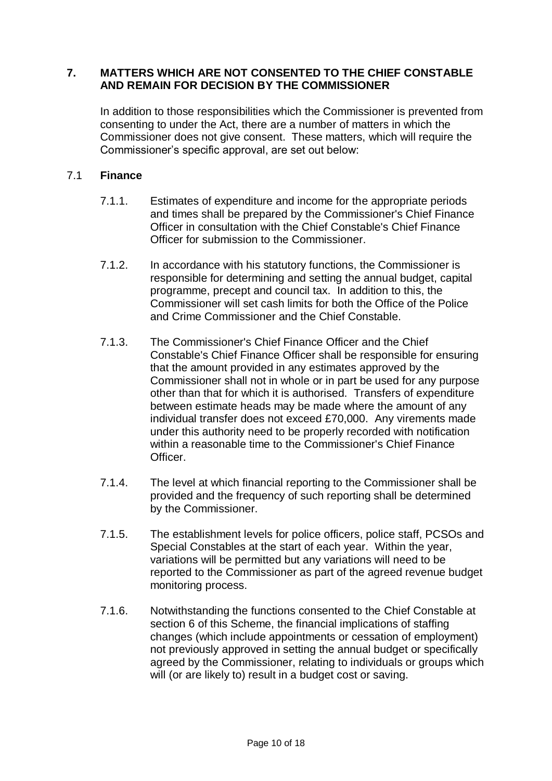### **7. MATTERS WHICH ARE NOT CONSENTED TO THE CHIEF CONSTABLE AND REMAIN FOR DECISION BY THE COMMISSIONER**

In addition to those responsibilities which the Commissioner is prevented from consenting to under the Act, there are a number of matters in which the Commissioner does not give consent. These matters, which will require the Commissioner's specific approval, are set out below:

#### 7.1 **Finance**

- 7.1.1. Estimates of expenditure and income for the appropriate periods and times shall be prepared by the Commissioner's Chief Finance Officer in consultation with the Chief Constable's Chief Finance Officer for submission to the Commissioner.
- 7.1.2. In accordance with his statutory functions, the Commissioner is responsible for determining and setting the annual budget, capital programme, precept and council tax. In addition to this, the Commissioner will set cash limits for both the Office of the Police and Crime Commissioner and the Chief Constable.
- 7.1.3. The Commissioner's Chief Finance Officer and the Chief Constable's Chief Finance Officer shall be responsible for ensuring that the amount provided in any estimates approved by the Commissioner shall not in whole or in part be used for any purpose other than that for which it is authorised. Transfers of expenditure between estimate heads may be made where the amount of any individual transfer does not exceed £70,000. Any virements made under this authority need to be properly recorded with notification within a reasonable time to the Commissioner's Chief Finance Officer.
- 7.1.4. The level at which financial reporting to the Commissioner shall be provided and the frequency of such reporting shall be determined by the Commissioner.
- 7.1.5. The establishment levels for police officers, police staff, PCSOs and Special Constables at the start of each year. Within the year, variations will be permitted but any variations will need to be reported to the Commissioner as part of the agreed revenue budget monitoring process.
- 7.1.6. Notwithstanding the functions consented to the Chief Constable at section 6 of this Scheme, the financial implications of staffing changes (which include appointments or cessation of employment) not previously approved in setting the annual budget or specifically agreed by the Commissioner, relating to individuals or groups which will (or are likely to) result in a budget cost or saving.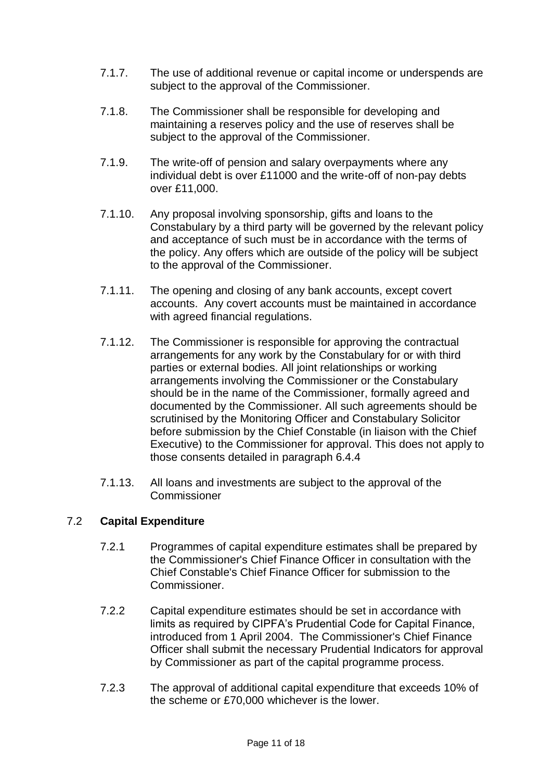- 7.1.7. The use of additional revenue or capital income or underspends are subject to the approval of the Commissioner.
- 7.1.8. The Commissioner shall be responsible for developing and maintaining a reserves policy and the use of reserves shall be subject to the approval of the Commissioner.
- 7.1.9. The write-off of pension and salary overpayments where any individual debt is over £11000 and the write-off of non-pay debts over £11,000.
- 7.1.10. Any proposal involving sponsorship, gifts and loans to the Constabulary by a third party will be governed by the relevant policy and acceptance of such must be in accordance with the terms of the policy. Any offers which are outside of the policy will be subject to the approval of the Commissioner.
- 7.1.11. The opening and closing of any bank accounts, except covert accounts. Any covert accounts must be maintained in accordance with agreed financial regulations.
- 7.1.12. The Commissioner is responsible for approving the contractual arrangements for any work by the Constabulary for or with third parties or external bodies. All joint relationships or working arrangements involving the Commissioner or the Constabulary should be in the name of the Commissioner, formally agreed and documented by the Commissioner. All such agreements should be scrutinised by the Monitoring Officer and Constabulary Solicitor before submission by the Chief Constable (in liaison with the Chief Executive) to the Commissioner for approval. This does not apply to those consents detailed in paragraph 6.4.4
- 7.1.13. All loans and investments are subject to the approval of the Commissioner

#### 7.2 **Capital Expenditure**

- 7.2.1 Programmes of capital expenditure estimates shall be prepared by the Commissioner's Chief Finance Officer in consultation with the Chief Constable's Chief Finance Officer for submission to the Commissioner.
- 7.2.2 Capital expenditure estimates should be set in accordance with limits as required by CIPFA's Prudential Code for Capital Finance, introduced from 1 April 2004. The Commissioner's Chief Finance Officer shall submit the necessary Prudential Indicators for approval by Commissioner as part of the capital programme process.
- 7.2.3 The approval of additional capital expenditure that exceeds 10% of the scheme or £70,000 whichever is the lower.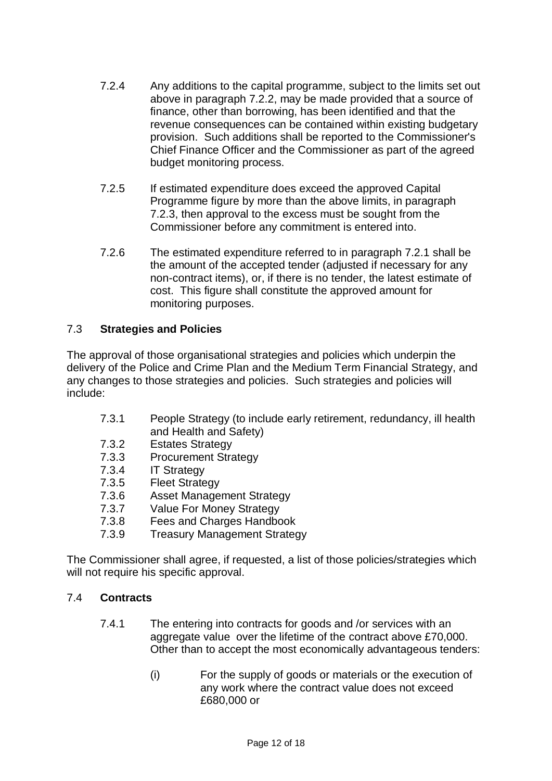- 7.2.4 Any additions to the capital programme, subject to the limits set out above in paragraph 7.2.2, may be made provided that a source of finance, other than borrowing, has been identified and that the revenue consequences can be contained within existing budgetary provision. Such additions shall be reported to the Commissioner's Chief Finance Officer and the Commissioner as part of the agreed budget monitoring process.
- 7.2.5 If estimated expenditure does exceed the approved Capital Programme figure by more than the above limits, in paragraph 7.2.3, then approval to the excess must be sought from the Commissioner before any commitment is entered into.
- 7.2.6 The estimated expenditure referred to in paragraph 7.2.1 shall be the amount of the accepted tender (adjusted if necessary for any non-contract items), or, if there is no tender, the latest estimate of cost. This figure shall constitute the approved amount for monitoring purposes.

# 7.3 **Strategies and Policies**

The approval of those organisational strategies and policies which underpin the delivery of the Police and Crime Plan and the Medium Term Financial Strategy, and any changes to those strategies and policies. Such strategies and policies will include:

- 7.3.1 People Strategy (to include early retirement, redundancy, ill health and Health and Safety)
- 7.3.2 Estates Strategy
- 7.3.3 Procurement Strategy
- 7.3.4 IT Strategy
- 7.3.5 Fleet Strategy
- 7.3.6 Asset Management Strategy
- 7.3.7 Value For Money Strategy
- 7.3.8 Fees and Charges Handbook
- 7.3.9 Treasury Management Strategy

The Commissioner shall agree, if requested, a list of those policies/strategies which will not require his specific approval.

#### 7.4 **Contracts**

- 7.4.1 The entering into contracts for goods and /or services with an agaregate value over the lifetime of the contract above £70,000. Other than to accept the most economically advantageous tenders:
	- (i) For the supply of goods or materials or the execution of any work where the contract value does not exceed £680,000 or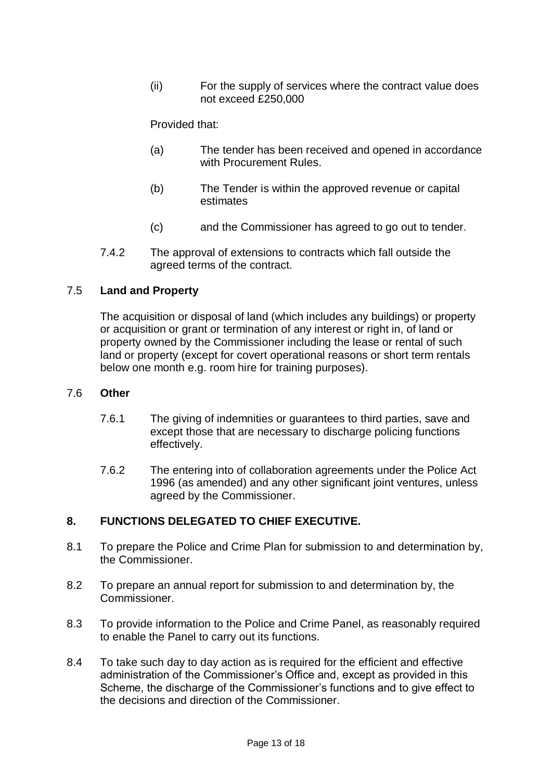(ii) For the supply of services where the contract value does not exceed £250,000

Provided that:

- (a) The tender has been received and opened in accordance with Procurement Rules.
- (b) The Tender is within the approved revenue or capital estimates
- (c) and the Commissioner has agreed to go out to tender.
- 7.4.2 The approval of extensions to contracts which fall outside the agreed terms of the contract.

#### 7.5 **Land and Property**

The acquisition or disposal of land (which includes any buildings) or property or acquisition or grant or termination of any interest or right in, of land or property owned by the Commissioner including the lease or rental of such land or property (except for covert operational reasons or short term rentals below one month e.g. room hire for training purposes).

#### 7.6 **Other**

- 7.6.1 The giving of indemnities or guarantees to third parties, save and except those that are necessary to discharge policing functions effectively.
- 7.6.2 The entering into of collaboration agreements under the Police Act 1996 (as amended) and any other significant joint ventures, unless agreed by the Commissioner.

# **8. FUNCTIONS DELEGATED TO CHIEF EXECUTIVE.**

- 8.1 To prepare the Police and Crime Plan for submission to and determination by, the Commissioner.
- 8.2 To prepare an annual report for submission to and determination by, the Commissioner.
- 8.3 To provide information to the Police and Crime Panel, as reasonably required to enable the Panel to carry out its functions.
- 8.4 To take such day to day action as is required for the efficient and effective administration of the Commissioner's Office and, except as provided in this Scheme, the discharge of the Commissioner's functions and to give effect to the decisions and direction of the Commissioner.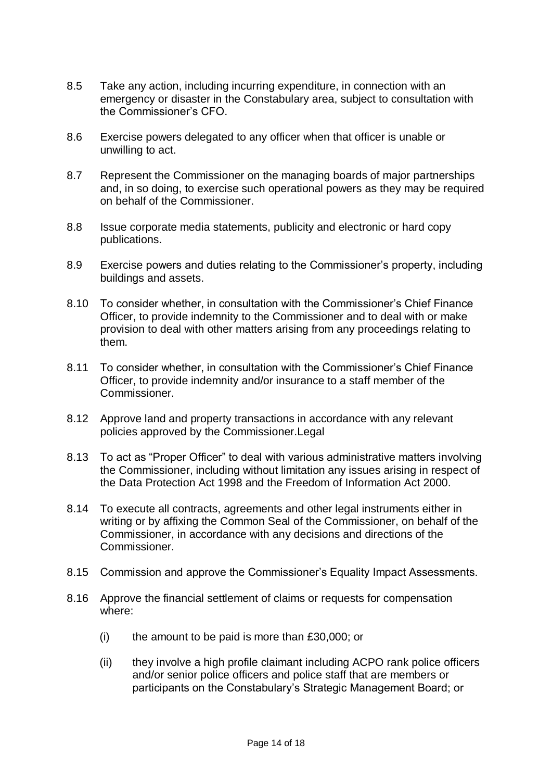- 8.5 Take any action, including incurring expenditure, in connection with an emergency or disaster in the Constabulary area, subject to consultation with the Commissioner's CFO.
- 8.6 Exercise powers delegated to any officer when that officer is unable or unwilling to act.
- 8.7 Represent the Commissioner on the managing boards of major partnerships and, in so doing, to exercise such operational powers as they may be required on behalf of the Commissioner.
- 8.8 Issue corporate media statements, publicity and electronic or hard copy publications.
- 8.9 Exercise powers and duties relating to the Commissioner's property, including buildings and assets.
- 8.10 To consider whether, in consultation with the Commissioner's Chief Finance Officer, to provide indemnity to the Commissioner and to deal with or make provision to deal with other matters arising from any proceedings relating to them.
- 8.11 To consider whether, in consultation with the Commissioner's Chief Finance Officer, to provide indemnity and/or insurance to a staff member of the Commissioner.
- 8.12 Approve land and property transactions in accordance with any relevant policies approved by the Commissioner.Legal
- 8.13 To act as "Proper Officer" to deal with various administrative matters involving the Commissioner, including without limitation any issues arising in respect of the Data Protection Act 1998 and the Freedom of Information Act 2000.
- 8.14 To execute all contracts, agreements and other legal instruments either in writing or by affixing the Common Seal of the Commissioner, on behalf of the Commissioner, in accordance with any decisions and directions of the Commissioner.
- 8.15 Commission and approve the Commissioner's Equality Impact Assessments.
- 8.16 Approve the financial settlement of claims or requests for compensation where:
	- (i) the amount to be paid is more than £30,000; or
	- (ii) they involve a high profile claimant including ACPO rank police officers and/or senior police officers and police staff that are members or participants on the Constabulary's Strategic Management Board; or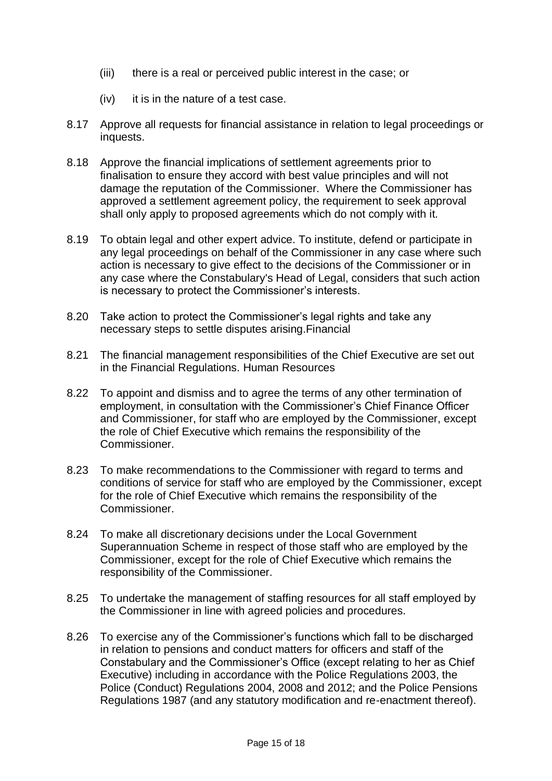- (iii) there is a real or perceived public interest in the case; or
- (iv) it is in the nature of a test case.
- 8.17 Approve all requests for financial assistance in relation to legal proceedings or inquests.
- 8.18 Approve the financial implications of settlement agreements prior to finalisation to ensure they accord with best value principles and will not damage the reputation of the Commissioner. Where the Commissioner has approved a settlement agreement policy, the requirement to seek approval shall only apply to proposed agreements which do not comply with it.
- 8.19 To obtain legal and other expert advice. To institute, defend or participate in any legal proceedings on behalf of the Commissioner in any case where such action is necessary to give effect to the decisions of the Commissioner or in any case where the Constabulary's Head of Legal, considers that such action is necessary to protect the Commissioner's interests.
- 8.20 Take action to protect the Commissioner's legal rights and take any necessary steps to settle disputes arising.Financial
- 8.21 The financial management responsibilities of the Chief Executive are set out in the Financial Regulations. Human Resources
- 8.22 To appoint and dismiss and to agree the terms of any other termination of employment, in consultation with the Commissioner's Chief Finance Officer and Commissioner, for staff who are employed by the Commissioner, except the role of Chief Executive which remains the responsibility of the Commissioner.
- 8.23 To make recommendations to the Commissioner with regard to terms and conditions of service for staff who are employed by the Commissioner, except for the role of Chief Executive which remains the responsibility of the Commissioner.
- 8.24 To make all discretionary decisions under the Local Government Superannuation Scheme in respect of those staff who are employed by the Commissioner, except for the role of Chief Executive which remains the responsibility of the Commissioner.
- 8.25 To undertake the management of staffing resources for all staff employed by the Commissioner in line with agreed policies and procedures.
- 8.26 To exercise any of the Commissioner's functions which fall to be discharged in relation to pensions and conduct matters for officers and staff of the Constabulary and the Commissioner's Office (except relating to her as Chief Executive) including in accordance with the Police Regulations 2003, the Police (Conduct) Regulations 2004, 2008 and 2012; and the Police Pensions Regulations 1987 (and any statutory modification and re-enactment thereof).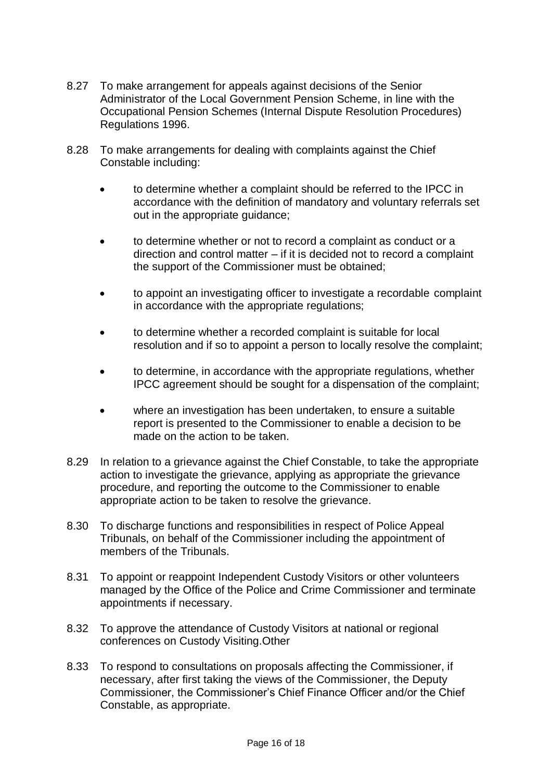- 8.27 To make arrangement for appeals against decisions of the Senior Administrator of the Local Government Pension Scheme, in line with the Occupational Pension Schemes (Internal Dispute Resolution Procedures) Regulations 1996.
- 8.28 To make arrangements for dealing with complaints against the Chief Constable including:
	- to determine whether a complaint should be referred to the IPCC in accordance with the definition of mandatory and voluntary referrals set out in the appropriate guidance;
	- to determine whether or not to record a complaint as conduct or a direction and control matter – if it is decided not to record a complaint the support of the Commissioner must be obtained;
	- to appoint an investigating officer to investigate a recordable complaint in accordance with the appropriate regulations;
	- to determine whether a recorded complaint is suitable for local resolution and if so to appoint a person to locally resolve the complaint;
	- to determine, in accordance with the appropriate regulations, whether IPCC agreement should be sought for a dispensation of the complaint;
	- where an investigation has been undertaken, to ensure a suitable report is presented to the Commissioner to enable a decision to be made on the action to be taken.
- 8.29 In relation to a grievance against the Chief Constable, to take the appropriate action to investigate the grievance, applying as appropriate the grievance procedure, and reporting the outcome to the Commissioner to enable appropriate action to be taken to resolve the grievance.
- 8.30 To discharge functions and responsibilities in respect of Police Appeal Tribunals, on behalf of the Commissioner including the appointment of members of the Tribunals.
- 8.31 To appoint or reappoint Independent Custody Visitors or other volunteers managed by the Office of the Police and Crime Commissioner and terminate appointments if necessary.
- 8.32 To approve the attendance of Custody Visitors at national or regional conferences on Custody Visiting.Other
- 8.33 To respond to consultations on proposals affecting the Commissioner, if necessary, after first taking the views of the Commissioner, the Deputy Commissioner, the Commissioner's Chief Finance Officer and/or the Chief Constable, as appropriate.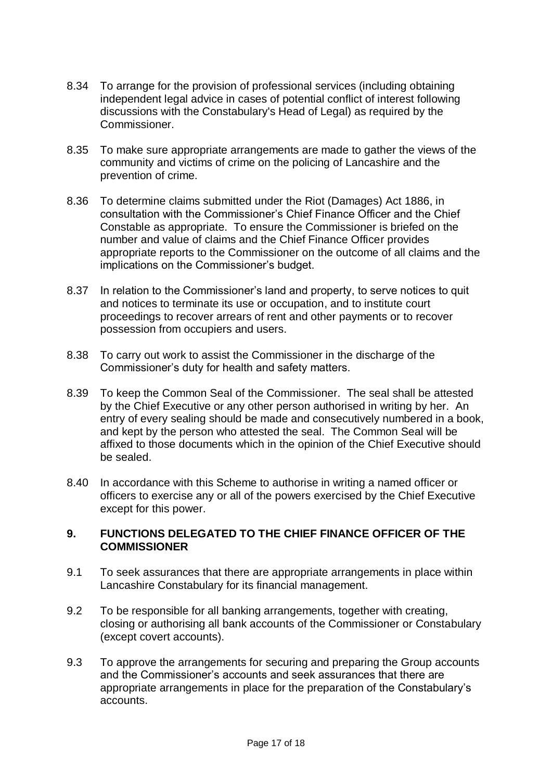- 8.34 To arrange for the provision of professional services (including obtaining independent legal advice in cases of potential conflict of interest following discussions with the Constabulary's Head of Legal) as required by the Commissioner.
- 8.35 To make sure appropriate arrangements are made to gather the views of the community and victims of crime on the policing of Lancashire and the prevention of crime.
- 8.36 To determine claims submitted under the Riot (Damages) Act 1886, in consultation with the Commissioner's Chief Finance Officer and the Chief Constable as appropriate. To ensure the Commissioner is briefed on the number and value of claims and the Chief Finance Officer provides appropriate reports to the Commissioner on the outcome of all claims and the implications on the Commissioner's budget.
- 8.37 In relation to the Commissioner's land and property, to serve notices to quit and notices to terminate its use or occupation, and to institute court proceedings to recover arrears of rent and other payments or to recover possession from occupiers and users.
- 8.38 To carry out work to assist the Commissioner in the discharge of the Commissioner's duty for health and safety matters.
- 8.39 To keep the Common Seal of the Commissioner. The seal shall be attested by the Chief Executive or any other person authorised in writing by her. An entry of every sealing should be made and consecutively numbered in a book, and kept by the person who attested the seal. The Common Seal will be affixed to those documents which in the opinion of the Chief Executive should be sealed.
- 8.40 In accordance with this Scheme to authorise in writing a named officer or officers to exercise any or all of the powers exercised by the Chief Executive except for this power.

#### **9. FUNCTIONS DELEGATED TO THE CHIEF FINANCE OFFICER OF THE COMMISSIONER**

- 9.1 To seek assurances that there are appropriate arrangements in place within Lancashire Constabulary for its financial management.
- 9.2 To be responsible for all banking arrangements, together with creating, closing or authorising all bank accounts of the Commissioner or Constabulary (except covert accounts).
- 9.3 To approve the arrangements for securing and preparing the Group accounts and the Commissioner's accounts and seek assurances that there are appropriate arrangements in place for the preparation of the Constabulary's accounts.